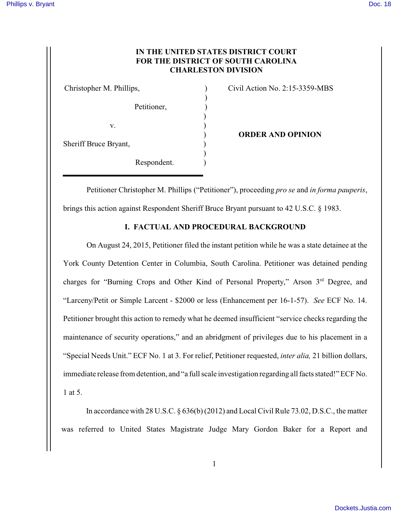## **IN THE UNITED STATES DISTRICT COURT FOR THE DISTRICT OF SOUTH CAROLINA CHARLESTON DIVISION**

)

)

)

Petitioner,  $\mathbf{v}$ .  $\qquad \qquad$  ) Sheriff Bruce Bryant, ) Respondent.

Christopher M. Phillips,  $\qquad \qquad$  (ivil Action No. 2:15-3359-MBS)

) **ORDER AND OPINION**

Petitioner Christopher M. Phillips ("Petitioner"), proceeding *pro se* and *in forma pauperis*, brings this action against Respondent Sheriff Bruce Bryant pursuant to 42 U.S.C. § 1983.

## **I. FACTUAL AND PROCEDURAL BACKGROUND**

On August 24, 2015, Petitioner filed the instant petition while he was a state detainee at the York County Detention Center in Columbia, South Carolina. Petitioner was detained pending charges for "Burning Crops and Other Kind of Personal Property," Arson 3<sup>rd</sup> Degree, and "Larceny/Petit or Simple Larcent - \$2000 or less (Enhancement per 16-1-57). *See* ECF No. 14. Petitioner brought this action to remedy what he deemed insufficient "service checks regarding the maintenance of security operations," and an abridgment of privileges due to his placement in a "Special Needs Unit." ECF No. 1 at 3. For relief, Petitioner requested, *inter alia,* 21 billion dollars, immediate release from detention, and "a full scale investigation regarding all facts stated!" ECF No. 1 at 5.

In accordance with 28 U.S.C. § 636(b) (2012) and Local Civil Rule 73.02, D.S.C., the matter was referred to United States Magistrate Judge Mary Gordon Baker for a Report and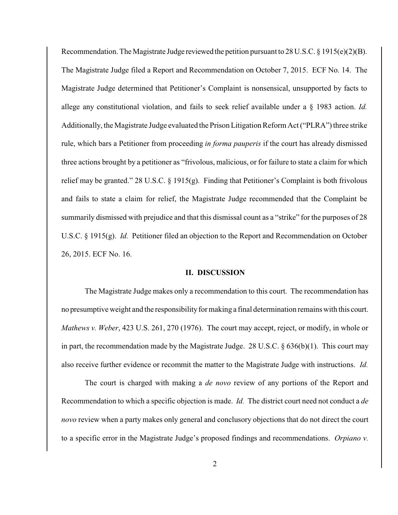Recommendation. The Magistrate Judge reviewed the petition pursuant to 28 U.S.C. § 1915(e)(2)(B). The Magistrate Judge filed a Report and Recommendation on October 7, 2015. ECF No. 14. The Magistrate Judge determined that Petitioner's Complaint is nonsensical, unsupported by facts to allege any constitutional violation, and fails to seek relief available under a § 1983 action. *Id.* Additionally, the Magistrate Judge evaluated the Prison Litigation Reform Act ("PLRA") three strike rule, which bars a Petitioner from proceeding *in forma pauperis* if the court has already dismissed three actions brought by a petitioner as "frivolous, malicious, or for failure to state a claim for which relief may be granted." 28 U.S.C. § 1915(g). Finding that Petitioner's Complaint is both frivolous and fails to state a claim for relief, the Magistrate Judge recommended that the Complaint be summarily dismissed with prejudice and that this dismissal count as a "strike" for the purposes of 28 U.S.C. § 1915(g). *Id.* Petitioner filed an objection to the Report and Recommendation on October 26, 2015. ECF No. 16.

## **II. DISCUSSION**

The Magistrate Judge makes only a recommendation to this court. The recommendation has no presumptive weight and the responsibilityfor making a final determination remains with this court. *Mathews v. Weber*, 423 U.S. 261, 270 (1976). The court may accept, reject, or modify, in whole or in part, the recommendation made by the Magistrate Judge. 28 U.S.C.  $\S 636(b)(1)$ . This court may also receive further evidence or recommit the matter to the Magistrate Judge with instructions. *Id.*

The court is charged with making a *de novo* review of any portions of the Report and Recommendation to which a specific objection is made. *Id.* The district court need not conduct a *de novo* review when a party makes only general and conclusory objections that do not direct the court to a specific error in the Magistrate Judge's proposed findings and recommendations. *Orpiano v.*